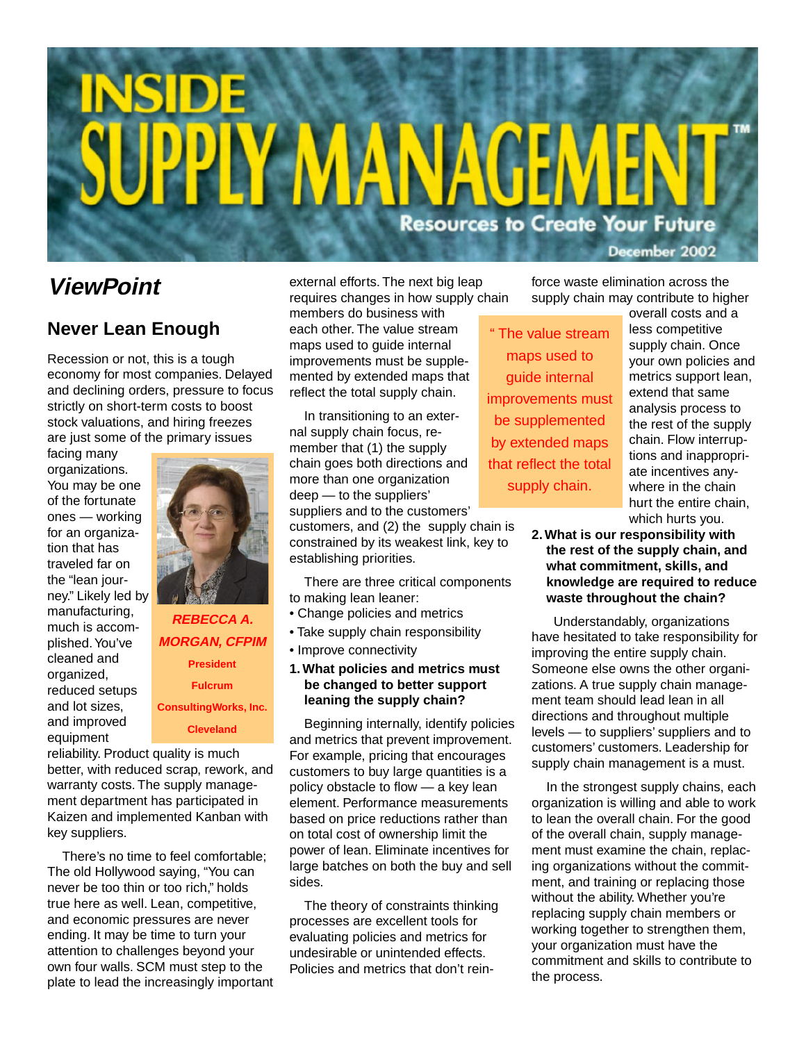# PIY MANAGEN **Resources to Create Your Future** December 2002

## **ViewPoint**

#### **Never Lean Enough**

Recession or not, this is a tough economy for most companies. Delayed and declining orders, pressure to focus strictly on short-term costs to boost stock valuations, and hiring freezes are just some of the primary issues

facing many organizations. You may be one of the fortunate ones — working for an organization that has traveled far on the "lean journey." Likely led by manufacturing, much is accomplished. You've cleaned and organized, reduced setups and lot sizes, and improved equipment



### **REBECCA A. MORGAN, CFPIM President Fulcrum ConsultingWorks, Inc. Cleveland**

reliability. Product quality is much better, with reduced scrap, rework, and warranty costs. The supply management department has participated in Kaizen and implemented Kanban with key suppliers.

There's no time to feel comfortable; The old Hollywood saying, "You can never be too thin or too rich," holds true here as well. Lean, competitive, and economic pressures are never ending. It may be time to turn your attention to challenges beyond your own four walls. SCM must step to the plate to lead the increasingly important external efforts. The next big leap requires changes in how supply chain

members do business with each other. The value stream maps used to guide internal improvements must be supplemented by extended maps that reflect the total supply chain.

In transitioning to an external supply chain focus, remember that (1) the supply chain goes both directions and more than one organization deep — to the suppliers' suppliers and to the customers'

customers, and (2) the supply chain is constrained by its weakest link, key to establishing priorities.

There are three critical components to making lean leaner:

- Change policies and metrics
- Take supply chain responsibility
- Improve connectivity
- **1. What policies and metrics must be changed to better support leaning the supply chain?**

Beginning internally, identify policies and metrics that prevent improvement. For example, pricing that encourages customers to buy large quantities is a policy obstacle to flow — a key lean element. Performance measurements based on price reductions rather than on total cost of ownership limit the power of lean. Eliminate incentives for large batches on both the buy and sell sides.

The theory of constraints thinking processes are excellent tools for evaluating policies and metrics for undesirable or unintended effects. Policies and metrics that don't reinforce waste elimination across the supply chain may contribute to higher

" The value stream maps used to guide internal improvements must be supplemented by extended maps that reflect the total supply chain.

overall costs and a less competitive supply chain. Once your own policies and metrics support lean, extend that same analysis process to the rest of the supply chain. Flow interruptions and inappropriate incentives anywhere in the chain hurt the entire chain, which hurts you.

**2. What is our responsibility with the rest of the supply chain, and what commitment, skills, and knowledge are required to reduce waste throughout the chain?**

 Understandably, organizations have hesitated to take responsibility for improving the entire supply chain. Someone else owns the other organizations. A true supply chain management team should lead lean in all directions and throughout multiple levels — to suppliers' suppliers and to customers' customers. Leadership for supply chain management is a must.

In the strongest supply chains, each organization is willing and able to work to lean the overall chain. For the good of the overall chain, supply management must examine the chain, replacing organizations without the commitment, and training or replacing those without the ability. Whether you're replacing supply chain members or working together to strengthen them, your organization must have the commitment and skills to contribute to the process.